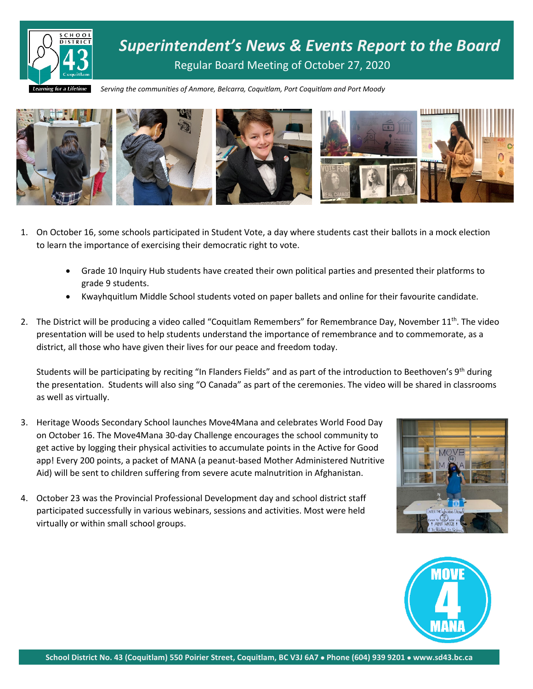

*Superintendent's News & Events Report to the Board* Regular Board Meeting of October 27, 2020

*Serving the communities of Anmore, Belcarra, Coquitlam, Port Coquitlam and Port Moody*



- 1. On October 16, some schools participated in Student Vote, a day where students cast their ballots in a mock election to learn the importance of exercising their democratic right to vote.
	- Grade 10 Inquiry Hub students have created their own political parties and presented their platforms to grade 9 students.
	- Kwayhquitlum Middle School students voted on paper ballets and online for their favourite candidate.
- 2. The District will be producing a video called "Coquitlam Remembers" for Remembrance Day, November  $11^{th}$ . The video presentation will be used to help students understand the importance of remembrance and to commemorate, as a district, all those who have given their lives for our peace and freedom today.

Students will be participating by reciting "In Flanders Fields" and as part of the introduction to Beethoven's 9<sup>th</sup> during the presentation. Students will also sing "O Canada" as part of the ceremonies. The video will be shared in classrooms as well as virtually.

- 3. Heritage Woods Secondary School launches Move4Mana and celebrates World Food Day on October 16. The Move4Mana 30-day Challenge encourages the school community to get active by logging their physical activities to accumulate points in the Active for Good app! Every 200 points, a packet of MANA (a peanut-based Mother Administered Nutritive Aid) will be sent to children suffering from severe acute malnutrition in Afghanistan.
- 4. October 23 was the Provincial Professional Development day and school district staff participated successfully in various webinars, sessions and activities. Most were held virtually or within small school groups.